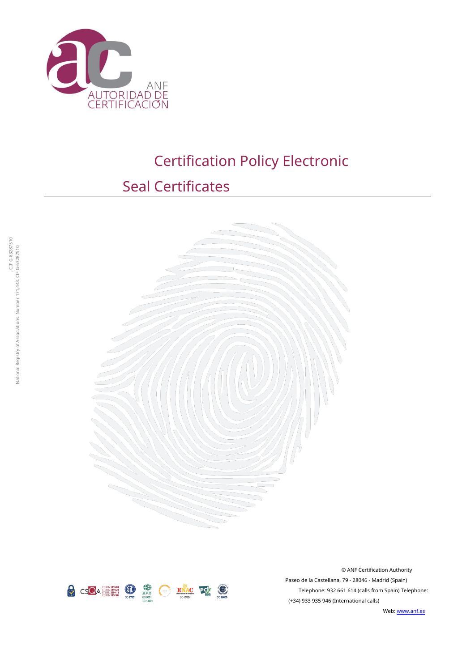

# Certification Policy Electronic

# Seal Certificates





© ANF Certification Authority Paseo de la Castellana, 79 - 28046 - Madrid (Spain) Telephone: 932 661 614 (calls from Spain) Telephone: (+34) 933 935 946 (International calls)

Web: [www.anf.es](http://www.anf.es/)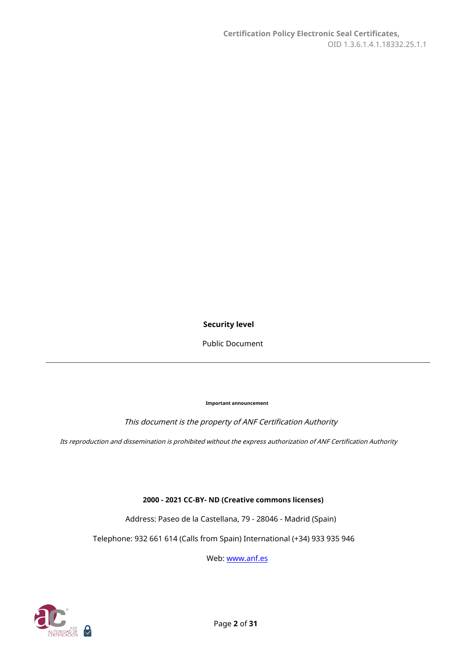#### **Security level**

Public Document

**Important announcement**

This document is the property of ANF Certification Authority

Its reproduction and dissemination is prohibited without the express authorization of ANF Certification Authority

**2000 - 2021 CC-BY- ND (Creative commons licenses)**

Address: Paseo de la Castellana, 79 - 28046 - Madrid (Spain)

Telephone: 932 661 614 (Calls from Spain) International (+34) 933 935 946

Web: [www.anf.es](http://www.anf.es/)

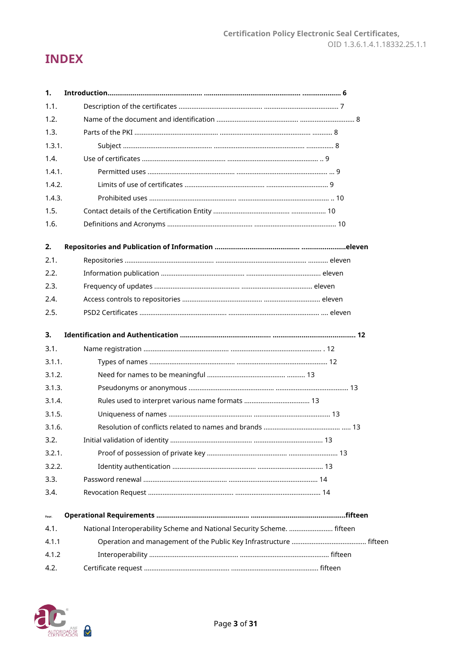# **INDEX**

| 1.     |                                                                         |  |
|--------|-------------------------------------------------------------------------|--|
| 1.1.   |                                                                         |  |
| 1.2.   |                                                                         |  |
| 1.3.   |                                                                         |  |
| 1.3.1. |                                                                         |  |
| 1.4.   |                                                                         |  |
| 1.4.1. |                                                                         |  |
| 1.4.2. |                                                                         |  |
| 1.4.3. |                                                                         |  |
| 1.5.   |                                                                         |  |
| 1.6.   |                                                                         |  |
| 2.     |                                                                         |  |
| 2.1.   |                                                                         |  |
| 2.2.   |                                                                         |  |
| 2.3.   |                                                                         |  |
| 2.4.   |                                                                         |  |
| 2.5.   |                                                                         |  |
| 3.     |                                                                         |  |
| 3.1.   |                                                                         |  |
| 3.1.1. |                                                                         |  |
| 3.1.2. |                                                                         |  |
| 3.1.3. |                                                                         |  |
| 3.1.4. |                                                                         |  |
| 3.1.5. |                                                                         |  |
| 3.1.6. |                                                                         |  |
| 3.2.   |                                                                         |  |
| 3.2.1. |                                                                         |  |
| 3.2.2. |                                                                         |  |
| 3.3.   |                                                                         |  |
| 3.4.   |                                                                         |  |
| Four.  |                                                                         |  |
| 4.1.   | National Interoperability Scheme and National Security Scheme.  fifteen |  |
| 4.1.1  |                                                                         |  |
| 4.1.2  |                                                                         |  |
| 4.2.   |                                                                         |  |

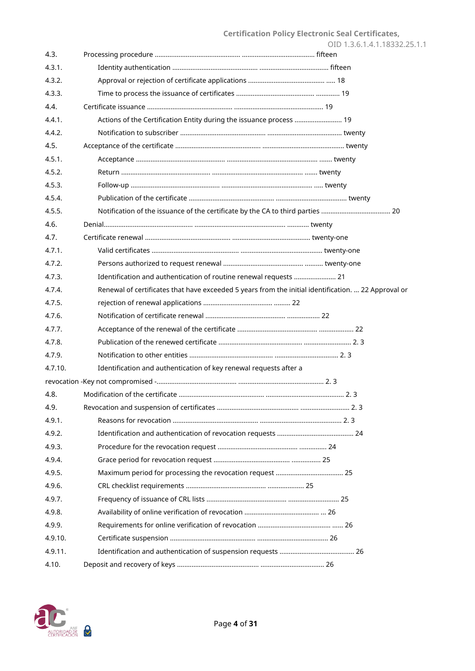|         |                                                                                                     | OID 1.3.6.1.4.1.18332.25.1.1 |
|---------|-----------------------------------------------------------------------------------------------------|------------------------------|
| 4.3.    |                                                                                                     |                              |
| 4.3.1.  |                                                                                                     |                              |
| 4.3.2.  |                                                                                                     |                              |
| 4.3.3.  |                                                                                                     |                              |
| 4.4.    |                                                                                                     |                              |
| 4.4.1.  | Actions of the Certification Entity during the issuance process  19                                 |                              |
| 4.4.2.  |                                                                                                     |                              |
| 4.5.    |                                                                                                     |                              |
| 4.5.1.  |                                                                                                     |                              |
| 4.5.2.  |                                                                                                     |                              |
| 4.5.3.  |                                                                                                     |                              |
| 4.5.4.  |                                                                                                     |                              |
| 4.5.5.  | Notification of the issuance of the certificate by the CA to third parties  20                      |                              |
| 4.6.    |                                                                                                     |                              |
| 4.7.    |                                                                                                     |                              |
| 4.7.1.  |                                                                                                     |                              |
| 4.7.2.  |                                                                                                     |                              |
| 4.7.3.  | Identification and authentication of routine renewal requests  21                                   |                              |
| 4.7.4.  | Renewal of certificates that have exceeded 5 years from the initial identification.  22 Approval or |                              |
| 4.7.5.  |                                                                                                     |                              |
| 4.7.6.  |                                                                                                     |                              |
| 4.7.7.  |                                                                                                     |                              |
| 4.7.8.  |                                                                                                     |                              |
| 4.7.9.  |                                                                                                     |                              |
| 4.7.10. | Identification and authentication of key renewal requests after a                                   |                              |
|         |                                                                                                     |                              |
| 4.8.    |                                                                                                     |                              |
| 4.9.    |                                                                                                     |                              |
| 4.9.1.  |                                                                                                     |                              |
| 4.9.2.  |                                                                                                     |                              |
| 4.9.3.  |                                                                                                     |                              |
| 4.9.4.  |                                                                                                     |                              |
| 4.9.5.  |                                                                                                     |                              |
| 4.9.6.  |                                                                                                     |                              |
| 4.9.7.  |                                                                                                     |                              |
| 4.9.8.  |                                                                                                     |                              |
| 4.9.9.  |                                                                                                     |                              |
| 4.9.10. |                                                                                                     |                              |
| 4.9.11. |                                                                                                     |                              |
| 4.10.   |                                                                                                     |                              |

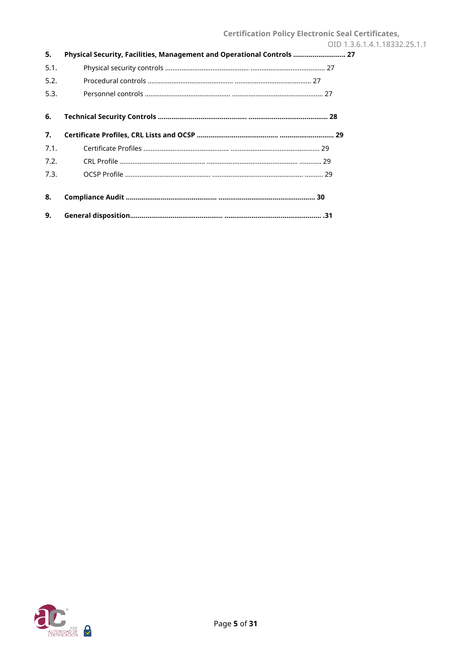| 5.   | Physical Security, Facilities, Management and Operational Controls  27 |
|------|------------------------------------------------------------------------|
| 5.1. |                                                                        |
| 5.2. |                                                                        |
| 5.3. |                                                                        |
| 6.   |                                                                        |
| 7.   |                                                                        |
| 7.1. |                                                                        |
| 7.2. |                                                                        |
| 7.3. |                                                                        |
| 8.   |                                                                        |
| 9.   |                                                                        |

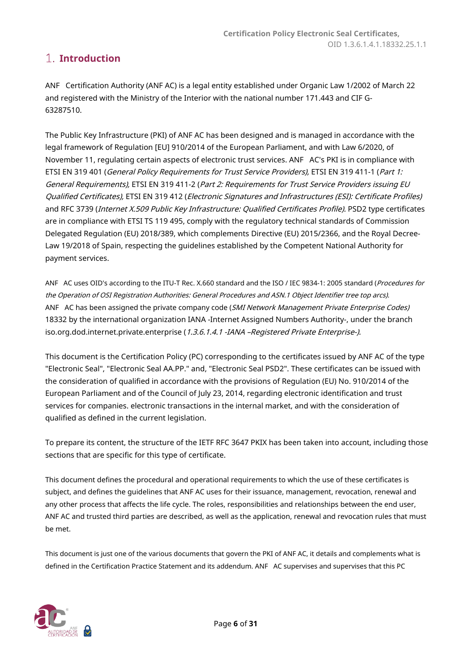## <span id="page-5-0"></span>**Introduction**

ANF Certification Authority (ANF AC) is a legal entity established under Organic Law 1/2002 of March 22 and registered with the Ministry of the Interior with the national number 171.443 and CIF G-63287510.

The Public Key Infrastructure (PKI) of ANF AC has been designed and is managed in accordance with the legal framework of Regulation [EU] 910/2014 of the European Parliament, and with Law 6/2020, of November 11, regulating certain aspects of electronic trust services. ANF AC's PKI is in compliance with ETSI EN 319 401 (General Policy Requirements for Trust Service Providers), ETSI EN 319 411-1 (Part 1: General Requirements), ETSI EN 319 411-2 (Part 2: Requirements for Trust Service Providers issuing EU Qualified Certificates), ETSI EN 319 412 (Electronic Signatures and Infrastructures (ESI): Certificate Profiles) and RFC 3739 (Internet X.509 Public Key Infrastructure: Qualified Certificates Profile). PSD2 type certificates are in compliance with ETSI TS 119 495, comply with the regulatory technical standards of Commission Delegated Regulation (EU) 2018/389, which complements Directive (EU) 2015/2366, and the Royal Decree-Law 19/2018 of Spain, respecting the guidelines established by the Competent National Authority for payment services.

ANF AC uses OID's according to the ITU-T Rec. X.660 standard and the ISO / IEC 9834-1: 2005 standard (Procedures for the Operation of OSI Registration Authorities: General Procedures and ASN.1 Object Identifier tree top arcs). ANF AC has been assigned the private company code (SMI Network Management Private Enterprise Codes) 18332 by the international organization IANA -Internet Assigned Numbers Authority-, under the branch iso.org.dod.internet.private.enterprise (1.3.6.1.4.1 -IANA -Registered Private Enterprise-).

This document is the Certification Policy (PC) corresponding to the certificates issued by ANF AC of the type "Electronic Seal", "Electronic Seal AA.PP." and, "Electronic Seal PSD2". These certificates can be issued with the consideration of qualified in accordance with the provisions of Regulation (EU) No. 910/2014 of the European Parliament and of the Council of July 23, 2014, regarding electronic identification and trust services for companies. electronic transactions in the internal market, and with the consideration of qualified as defined in the current legislation.

To prepare its content, the structure of the IETF RFC 3647 PKIX has been taken into account, including those sections that are specific for this type of certificate.

This document defines the procedural and operational requirements to which the use of these certificates is subject, and defines the guidelines that ANF AC uses for their issuance, management, revocation, renewal and any other process that affects the life cycle. The roles, responsibilities and relationships between the end user, ANF AC and trusted third parties are described, as well as the application, renewal and revocation rules that must be met.

This document is just one of the various documents that govern the PKI of ANF AC, it details and complements what is defined in the Certification Practice Statement and its addendum. ANF AC supervises and supervises that this PC

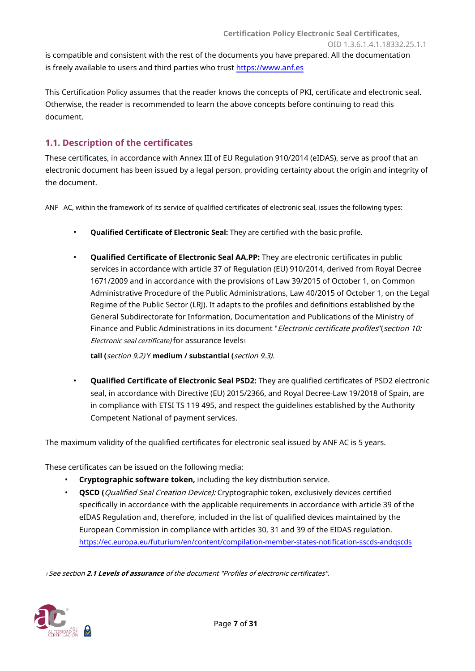OID 1.3.6.1.4.1.18332.25.1.1 is compatible and consistent with the rest of the documents you have prepared. All the documentation is freely available to users and third parties who trust https:/[/www.anf.es](https://www.anf.es/)

**Certification Policy Electronic Seal Certificates,**

This Certification Policy assumes that the reader knows the concepts of PKI, certificate and electronic seal. Otherwise, the reader is recommended to learn the above concepts before continuing to read this document.

#### <span id="page-6-0"></span>**1.1. Description of the certificates**

These certificates, in accordance with Annex III of EU Regulation 910/2014 (eIDAS), serve as proof that an electronic document has been issued by a legal person, providing certainty about the origin and integrity of the document.

ANF AC, within the framework of its service of qualified certificates of electronic seal, issues the following types:

- **Qualified Certificate of Electronic Seal:** They are certified with the basic profile.
- **Qualified Certificate of Electronic Seal AA.PP:** They are electronic certificates in public services in accordance with article 37 of Regulation (EU) 910/2014, derived from Royal Decree 1671/2009 and in accordance with the provisions of Law 39/2015 of October 1, on Common Administrative Procedure of the Public Administrations, Law 40/2015 of October 1, on the Legal Regime of the Public Sector (LRJ). It adapts to the profiles and definitions established by the General Subdirectorate for Information, Documentation and Publications of the Ministry of Finance and Public Administrations in its document "Electronic certificate profiles"(section 10: Electronic seal certificate) for assurance levels<sup>1</sup>

**tall (**section 9.2) Y **medium / substantial (**section 9.3).

• **Qualified Certificate of Electronic Seal PSD2:** They are qualified certificates of PSD2 electronic seal, in accordance with Directive (EU) 2015/2366, and Royal Decree-Law 19/2018 of Spain, are in compliance with ETSI TS 119 495, and respect the guidelines established by the Authority Competent National of payment services.

The maximum validity of the qualified certificates for electronic seal issued by ANF AC is 5 years.

These certificates can be issued on the following media:

- **Cryptographic software token,** including the key distribution service.
- **QSCD (**Qualified Seal Creation Device): Cryptographic token, exclusively devices certified specifically in accordance with the applicable requirements in accordance with article 39 of the eIDAS Regulation and, therefore, included in the list of qualified devices maintained by the European Commission in compliance with articles 30, 31 and 39 of the EIDAS regulation. [https://ec.europa.eu/futurium/en/content/compilation-member-states-notification-sscds-andqscds](https://ec.europa.eu/futurium/en/content/compilation-member-states-notification-sscds-and-qscds)

<sup>1</sup>See section **2.1 Levels of assurance** of the document "Profiles of electronic certificates".

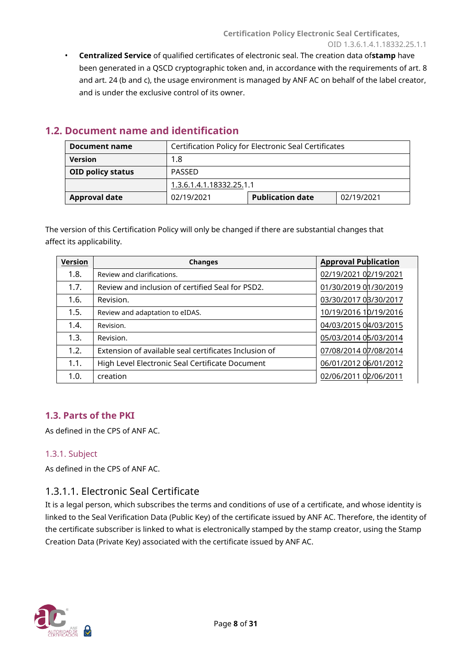• **Centralized Service** of qualified certificates of electronic seal. The creation data of**stamp** have been generated in a QSCD cryptographic token and, in accordance with the requirements of art. 8 and art. 24 (b and c), the usage environment is managed by ANF AC on behalf of the label creator, and is under the exclusive control of its owner.

| Document name                      | Certification Policy for Electronic Seal Certificates |                         |            |
|------------------------------------|-------------------------------------------------------|-------------------------|------------|
| <b>Version</b>                     | 1.8                                                   |                         |            |
| <b>OID policy status</b><br>PASSED |                                                       |                         |            |
|                                    | 1.3.6.1.4.1.18332.25.1.1                              |                         |            |
| <b>Approval date</b>               | 02/19/2021                                            | <b>Publication date</b> | 02/19/2021 |

## <span id="page-7-0"></span>**1.2. Document name and identification**

The version of this Certification Policy will only be changed if there are substantial changes that affect its applicability.

| <b>Version</b> | <b>Changes</b>                                        | <b>Approval Publication</b> |
|----------------|-------------------------------------------------------|-----------------------------|
| 1.8.           | Review and clarifications.                            | 02/19/2021 02/19/2021       |
| 1.7.           | Review and inclusion of certified Seal for PSD2.      | 01/30/2019 01/30/2019       |
| 1.6.           | Revision.                                             | 03/30/2017 03/30/2017       |
| 1.5.           | Review and adaptation to eIDAS.                       | 10/19/2016 10/19/2016       |
| 1.4.           | Revision.                                             | 04/03/2015 04/03/2015       |
| 1.3.           | Revision.                                             | 05/03/2014 05/03/2014       |
| 1.2.           | Extension of available seal certificates Inclusion of | 07/08/2014 07/08/2014       |
| 1.1.           | High Level Electronic Seal Certificate Document       | 06/01/2012 06/01/2012       |
| 1.0.           | creation                                              | 02/06/2011 02/06/2011       |

### <span id="page-7-1"></span>**1.3. Parts of the PKI**

As defined in the CPS of ANF AC.

#### <span id="page-7-2"></span>1.3.1. Subject

As defined in the CPS of ANF AC.

### 1.3.1.1. Electronic Seal Certificate

It is a legal person, which subscribes the terms and conditions of use of a certificate, and whose identity is linked to the Seal Verification Data (Public Key) of the certificate issued by ANF AC. Therefore, the identity of the certificate subscriber is linked to what is electronically stamped by the stamp creator, using the Stamp Creation Data (Private Key) associated with the certificate issued by ANF AC.

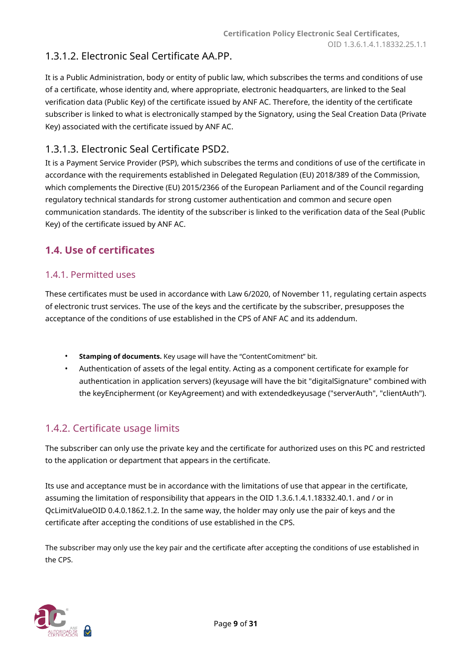# 1.3.1.2. Electronic Seal Certificate AA.PP.

It is a Public Administration, body or entity of public law, which subscribes the terms and conditions of use of a certificate, whose identity and, where appropriate, electronic headquarters, are linked to the Seal verification data (Public Key) of the certificate issued by ANF AC. Therefore, the identity of the certificate subscriber is linked to what is electronically stamped by the Signatory, using the Seal Creation Data (Private Key) associated with the certificate issued by ANF AC.

## 1.3.1.3. Electronic Seal Certificate PSD2.

It is a Payment Service Provider (PSP), which subscribes the terms and conditions of use of the certificate in accordance with the requirements established in Delegated Regulation (EU) 2018/389 of the Commission, which complements the Directive (EU) 2015/2366 of the European Parliament and of the Council regarding regulatory technical standards for strong customer authentication and common and secure open communication standards. The identity of the subscriber is linked to the verification data of the Seal (Public Key) of the certificate issued by ANF AC.

## <span id="page-8-0"></span>**1.4. Use of certificates**

#### <span id="page-8-1"></span>1.4.1. Permitted uses

These certificates must be used in accordance with Law 6/2020, of November 11, regulating certain aspects of electronic trust services. The use of the keys and the certificate by the subscriber, presupposes the acceptance of the conditions of use established in the CPS of ANF AC and its addendum.

- **Stamping of documents.** Key usage will have the "ContentComitment" bit.
- Authentication of assets of the legal entity. Acting as a component certificate for example for authentication in application servers) (keyusage will have the bit "digitalSignature" combined with the keyEncipherment (or KeyAgreement) and with extendedkeyusage ("serverAuth", "clientAuth").

## <span id="page-8-2"></span>1.4.2. Certificate usage limits

The subscriber can only use the private key and the certificate for authorized uses on this PC and restricted to the application or department that appears in the certificate.

Its use and acceptance must be in accordance with the limitations of use that appear in the certificate, assuming the limitation of responsibility that appears in the OID 1.3.6.1.4.1.18332.40.1. and / or in QcLimitValueOID 0.4.0.1862.1.2. In the same way, the holder may only use the pair of keys and the certificate after accepting the conditions of use established in the CPS.

The subscriber may only use the key pair and the certificate after accepting the conditions of use established in the CPS.

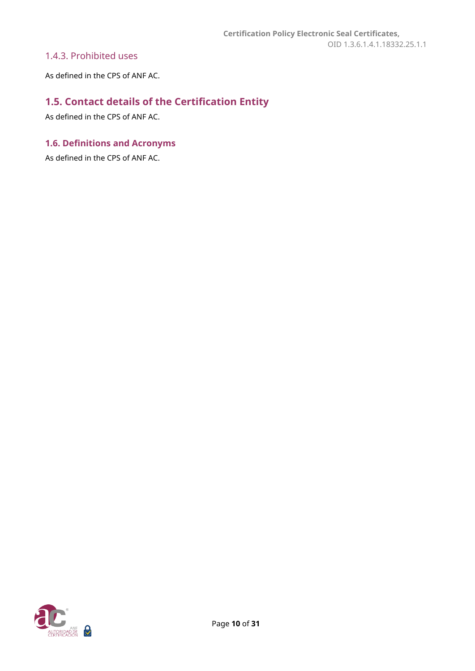#### <span id="page-9-0"></span>1.4.3. Prohibited uses

As defined in the CPS of ANF AC.

# <span id="page-9-1"></span>**1.5. Contact details of the Certification Entity**

As defined in the CPS of ANF AC.

### <span id="page-9-2"></span>**1.6. Definitions and Acronyms**

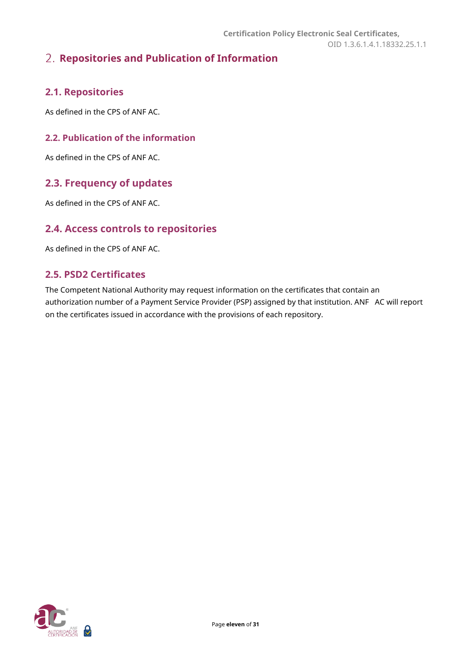# <span id="page-10-0"></span>**Repositories and Publication of Information**

## <span id="page-10-1"></span>**2.1. Repositories**

As defined in the CPS of ANF AC.

#### <span id="page-10-2"></span>**2.2. Publication of the information**

As defined in the CPS of ANF AC.

### <span id="page-10-3"></span>**2.3. Frequency of updates**

As defined in the CPS of ANF AC.

#### <span id="page-10-4"></span>**2.4. Access controls to repositories**

As defined in the CPS of ANF AC.

#### <span id="page-10-5"></span>**2.5. PSD2 Certificates**

The Competent National Authority may request information on the certificates that contain an authorization number of a Payment Service Provider (PSP) assigned by that institution. ANF AC will report on the certificates issued in accordance with the provisions of each repository.

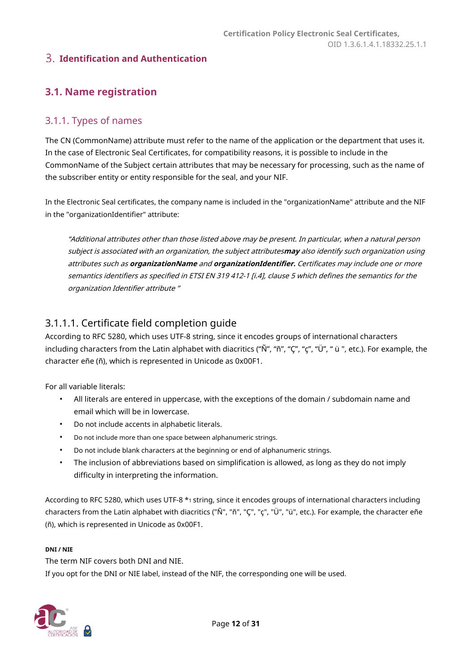#### <span id="page-11-0"></span>**Identification and Authentication**

## <span id="page-11-1"></span>**3.1. Name registration**

#### <span id="page-11-2"></span>3.1.1. Types of names

The CN (CommonName) attribute must refer to the name of the application or the department that uses it. In the case of Electronic Seal Certificates, for compatibility reasons, it is possible to include in the CommonName of the Subject certain attributes that may be necessary for processing, such as the name of the subscriber entity or entity responsible for the seal, and your NIF.

In the Electronic Seal certificates, the company name is included in the "organizationName" attribute and the NIF in the "organizationIdentifier" attribute:

"Additional attributes other than those listed above may be present. In particular, when a natural person subject is associated with an organization, the subject attributes**may** also identify such organization using attributes such as **organizationName** and **organizationIdentifier.** Certificates may include one or more semantics identifiers as specified in ETSI EN 319 412-1 [i.4], clause 5 which defines the semantics for the organization Identifier attribute "

### 3.1.1.1. Certificate field completion guide

According to RFC 5280, which uses UTF-8 string, since it encodes groups of international characters including characters from the Latin alphabet with diacritics ("Ñ", "ñ", "Ç", "ç", "Ü", " ü ", etc.). For example, the character eñe (ñ), which is represented in Unicode as 0x00F1.

For all variable literals:

- All literals are entered in uppercase, with the exceptions of the domain / subdomain name and email which will be in lowercase.
- Do not include accents in alphabetic literals.
- Do not include more than one space between alphanumeric strings.
- Do not include blank characters at the beginning or end of alphanumeric strings.
- The inclusion of abbreviations based on simplification is allowed, as long as they do not imply difficulty in interpreting the information.

According to RFC 5280, which uses UTF-8 \*1 string, since it encodes groups of international characters including characters from the Latin alphabet with diacritics ("Ñ", "ñ", "Ç", "ç", "Ü", "ü", etc.). For example, the character eñe (ñ), which is represented in Unicode as 0x00F1.

#### **DNI / NIE**

The term NIF covers both DNI and NIE.

If you opt for the DNI or NIE label, instead of the NIF, the corresponding one will be used.

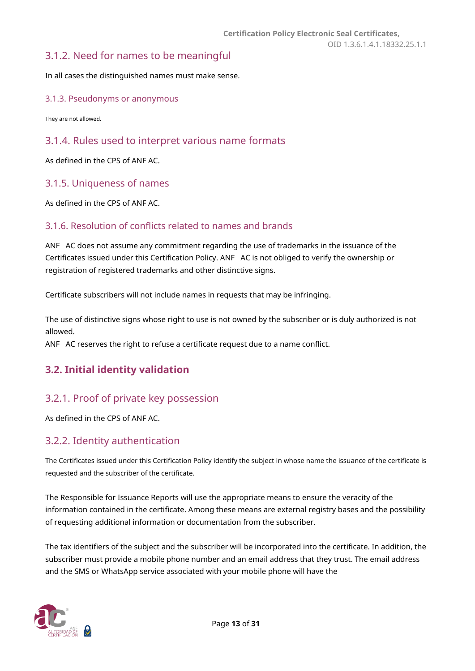#### <span id="page-12-0"></span>3.1.2. Need for names to be meaningful

In all cases the distinguished names must make sense.

#### <span id="page-12-1"></span>3.1.3. Pseudonyms or anonymous

They are not allowed.

#### <span id="page-12-2"></span>3.1.4. Rules used to interpret various name formats

As defined in the CPS of ANF AC.

#### <span id="page-12-3"></span>3.1.5. Uniqueness of names

As defined in the CPS of ANF AC.

#### <span id="page-12-4"></span>3.1.6. Resolution of conflicts related to names and brands

ANF AC does not assume any commitment regarding the use of trademarks in the issuance of the Certificates issued under this Certification Policy. ANF AC is not obliged to verify the ownership or registration of registered trademarks and other distinctive signs.

Certificate subscribers will not include names in requests that may be infringing.

The use of distinctive signs whose right to use is not owned by the subscriber or is duly authorized is not allowed.

<span id="page-12-5"></span>ANF AC reserves the right to refuse a certificate request due to a name conflict.

### **3.2. Initial identity validation**

#### <span id="page-12-6"></span>3.2.1. Proof of private key possession

As defined in the CPS of ANF AC.

#### <span id="page-12-7"></span>3.2.2. Identity authentication

The Certificates issued under this Certification Policy identify the subject in whose name the issuance of the certificate is requested and the subscriber of the certificate.

The Responsible for Issuance Reports will use the appropriate means to ensure the veracity of the information contained in the certificate. Among these means are external registry bases and the possibility of requesting additional information or documentation from the subscriber.

The tax identifiers of the subject and the subscriber will be incorporated into the certificate. In addition, the subscriber must provide a mobile phone number and an email address that they trust. The email address and the SMS or WhatsApp service associated with your mobile phone will have the

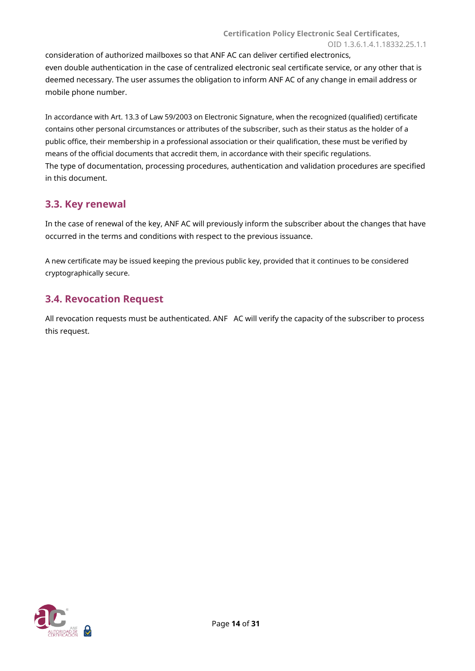consideration of authorized mailboxes so that ANF AC can deliver certified electronics, even double authentication in the case of centralized electronic seal certificate service, or any other that is deemed necessary. The user assumes the obligation to inform ANF AC of any change in email address or mobile phone number.

In accordance with Art. 13.3 of Law 59/2003 on Electronic Signature, when the recognized (qualified) certificate contains other personal circumstances or attributes of the subscriber, such as their status as the holder of a public office, their membership in a professional association or their qualification, these must be verified by means of the official documents that accredit them, in accordance with their specific regulations. The type of documentation, processing procedures, authentication and validation procedures are specified in this document.

## <span id="page-13-0"></span>**3.3. Key renewal**

In the case of renewal of the key, ANF AC will previously inform the subscriber about the changes that have occurred in the terms and conditions with respect to the previous issuance.

A new certificate may be issued keeping the previous public key, provided that it continues to be considered cryptographically secure.

## <span id="page-13-1"></span>**3.4. Revocation Request**

All revocation requests must be authenticated. ANF AC will verify the capacity of the subscriber to process this request.

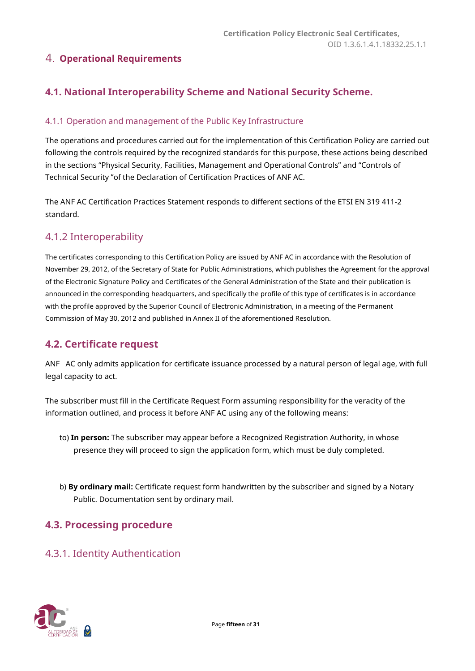## <span id="page-14-0"></span>**Operational Requirements**

## <span id="page-14-1"></span>**4.1. National Interoperability Scheme and National Security Scheme.**

#### <span id="page-14-2"></span>4.1.1 Operation and management of the Public Key Infrastructure

The operations and procedures carried out for the implementation of this Certification Policy are carried out following the controls required by the recognized standards for this purpose, these actions being described in the sections "Physical Security, Facilities, Management and Operational Controls" and "Controls of Technical Security "of the Declaration of Certification Practices of ANF AC.

The ANF AC Certification Practices Statement responds to different sections of the ETSI EN 319 411-2 standard.

### <span id="page-14-3"></span>4.1.2 Interoperability

The certificates corresponding to this Certification Policy are issued by ANF AC in accordance with the Resolution of November 29, 2012, of the Secretary of State for Public Administrations, which publishes the Agreement for the approval of the Electronic Signature Policy and Certificates of the General Administration of the State and their publication is announced in the corresponding headquarters, and specifically the profile of this type of certificates is in accordance with the profile approved by the Superior Council of Electronic Administration, in a meeting of the Permanent Commission of May 30, 2012 and published in Annex II of the aforementioned Resolution.

### <span id="page-14-4"></span>**4.2. Certificate request**

ANF AC only admits application for certificate issuance processed by a natural person of legal age, with full legal capacity to act.

The subscriber must fill in the Certificate Request Form assuming responsibility for the veracity of the information outlined, and process it before ANF AC using any of the following means:

- to) **In person:** The subscriber may appear before a Recognized Registration Authority, in whose presence they will proceed to sign the application form, which must be duly completed.
- b) **By ordinary mail:** Certificate request form handwritten by the subscriber and signed by a Notary Public. Documentation sent by ordinary mail.

### <span id="page-14-5"></span>**4.3. Processing procedure**

### <span id="page-14-6"></span>4.3.1. Identity Authentication

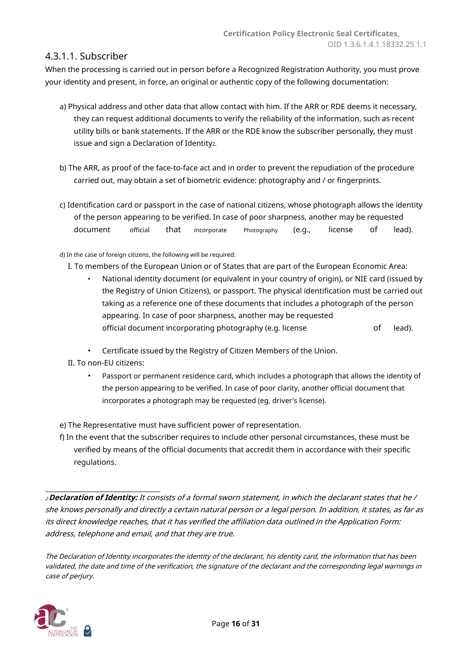#### 4.3.1.1. Subscriber

When the processing is carried out in person before a Recognized Registration Authority, you must prove your identity and present, in force, an original or authentic copy of the following documentation:

- a) Physical address and other data that allow contact with him. If the ARR or RDE deems it necessary, they can request additional documents to verify the reliability of the information, such as recent utility bills or bank statements. If the ARR or the RDE know the subscriber personally, they must issue and sign a Declaration of Identity2.
- b) The ARR, as proof of the face-to-face act and in order to prevent the repudiation of the procedure carried out, may obtain a set of biometric evidence: photography and / or fingerprints.
- c) Identification card or passport in the case of national citizens, whose photograph allows the identity of the person appearing to be verified. In case of poor sharpness, another may be requested document official that incorporate Photography (e.g., license of lead).

d) In the case of foreign citizens, the following will be required:

- I. To members of the European Union or of States that are part of the European Economic Area:
	- National identity document (or equivalent in your country of origin), or NIE card (issued by the Registry of Union Citizens), or passport. The physical identification must be carried out taking as a reference one of these documents that includes a photograph of the person appearing. In case of poor sharpness, another may be requested official document incorporating photography (e.g. license of lead).
	- Certificate issued by the Registry of Citizen Members of the Union.
- II. To non-EU citizens:
	- Passport or permanent residence card, which includes a photograph that allows the identity of the person appearing to be verified. In case of poor clarity, another official document that incorporates a photograph may be requested (eg, driver's license).
- e) The Representative must have sufficient power of representation.
- f) In the event that the subscriber requires to include other personal circumstances, these must be verified by means of the official documents that accredit them in accordance with their specific regulations.

<sup>2</sup>**Declaration of Identity:** It consists of a formal sworn statement, in which the declarant states that he / she knows personally and directly a certain natural person or a legal person. In addition, it states, as far as its direct knowledge reaches, that it has verified the affiliation data outlined in the Application Form: address, telephone and email, and that they are true.

The Declaration of Identity incorporates the identity of the declarant, his identity card, the information that has been validated, the date and time of the verification, the signature of the declarant and the corresponding legal warnings in case of perjury.

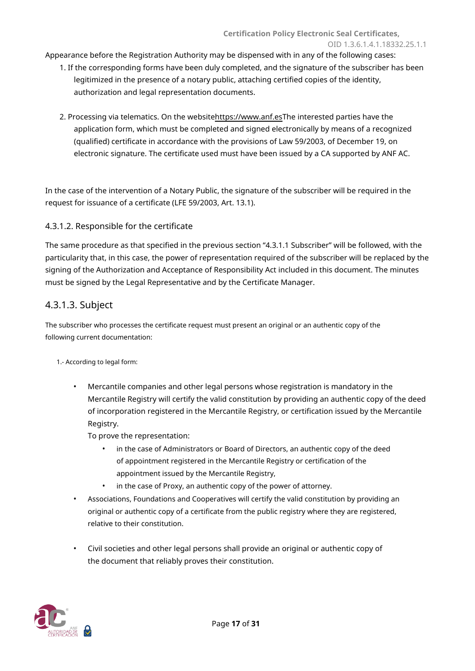Appearance before the Registration Authority may be dispensed with in any of the following cases:

- 1. If the corresponding forms have been duly completed, and the signature of the subscriber has been legitimized in the presence of a notary public, attaching certified copies of the identity, authorization and legal representation documents.
- 2. Processing via telematics. On the websitehttps://[www.anf.esThe intere](https://www.anf.es/)sted parties have the application form, which must be completed and signed electronically by means of a recognized (qualified) certificate in accordance with the provisions of Law 59/2003, of December 19, on electronic signature. The certificate used must have been issued by a CA supported by ANF AC.

In the case of the intervention of a Notary Public, the signature of the subscriber will be required in the request for issuance of a certificate (LFE 59/2003, Art. 13.1).

#### 4.3.1.2. Responsible for the certificate

The same procedure as that specified in the previous section "4.3.1.1 Subscriber" will be followed, with the particularity that, in this case, the power of representation required of the subscriber will be replaced by the signing of the Authorization and Acceptance of Responsibility Act included in this document. The minutes must be signed by the Legal Representative and by the Certificate Manager.

#### 4.3.1.3. Subject

The subscriber who processes the certificate request must present an original or an authentic copy of the following current documentation:

#### 1.- According to legal form:

• Mercantile companies and other legal persons whose registration is mandatory in the Mercantile Registry will certify the valid constitution by providing an authentic copy of the deed of incorporation registered in the Mercantile Registry, or certification issued by the Mercantile Registry.

To prove the representation:

- in the case of Administrators or Board of Directors, an authentic copy of the deed of appointment registered in the Mercantile Registry or certification of the appointment issued by the Mercantile Registry,
- in the case of Proxy, an authentic copy of the power of attorney.
- Associations, Foundations and Cooperatives will certify the valid constitution by providing an original or authentic copy of a certificate from the public registry where they are registered, relative to their constitution.
- Civil societies and other legal persons shall provide an original or authentic copy of the document that reliably proves their constitution.

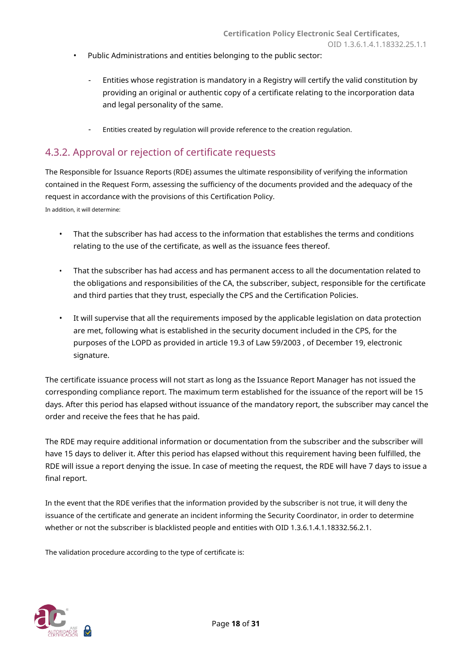- Public Administrations and entities belonging to the public sector:
	- Entities whose registration is mandatory in a Registry will certify the valid constitution by providing an original or authentic copy of a certificate relating to the incorporation data and legal personality of the same.
	- Entities created by regulation will provide reference to the creation regulation.

## <span id="page-17-0"></span>4.3.2. Approval or rejection of certificate requests

The Responsible for Issuance Reports (RDE) assumes the ultimate responsibility of verifying the information contained in the Request Form, assessing the sufficiency of the documents provided and the adequacy of the request in accordance with the provisions of this Certification Policy. In addition, it will determine:

- That the subscriber has had access to the information that establishes the terms and conditions relating to the use of the certificate, as well as the issuance fees thereof.
- That the subscriber has had access and has permanent access to all the documentation related to the obligations and responsibilities of the CA, the subscriber, subject, responsible for the certificate and third parties that they trust, especially the CPS and the Certification Policies.
- It will supervise that all the requirements imposed by the applicable legislation on data protection are met, following what is established in the security document included in the CPS, for the purposes of the LOPD as provided in article 19.3 of Law 59/2003 , of December 19, electronic signature.

The certificate issuance process will not start as long as the Issuance Report Manager has not issued the corresponding compliance report. The maximum term established for the issuance of the report will be 15 days. After this period has elapsed without issuance of the mandatory report, the subscriber may cancel the order and receive the fees that he has paid.

The RDE may require additional information or documentation from the subscriber and the subscriber will have 15 days to deliver it. After this period has elapsed without this requirement having been fulfilled, the RDE will issue a report denying the issue. In case of meeting the request, the RDE will have 7 days to issue a final report.

In the event that the RDE verifies that the information provided by the subscriber is not true, it will deny the issuance of the certificate and generate an incident informing the Security Coordinator, in order to determine whether or not the subscriber is blacklisted people and entities with OID 1.3.6.1.4.1.18332.56.2.1.

The validation procedure according to the type of certificate is:

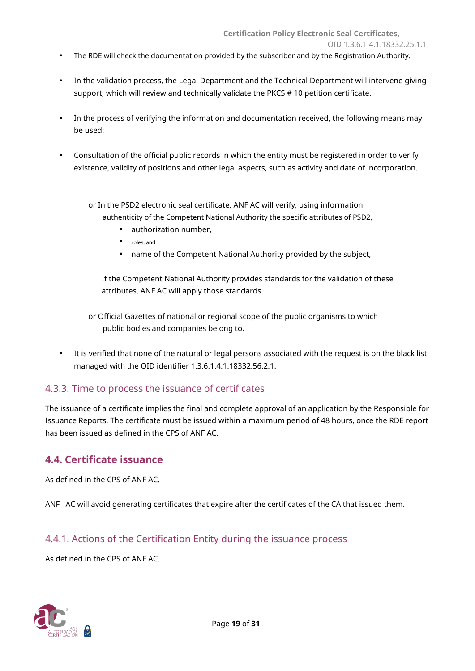- The RDE will check the documentation provided by the subscriber and by the Registration Authority.
- In the validation process, the Legal Department and the Technical Department will intervene giving support, which will review and technically validate the PKCS # 10 petition certificate.
- In the process of verifying the information and documentation received, the following means may be used:
- Consultation of the official public records in which the entity must be registered in order to verify existence, validity of positions and other legal aspects, such as activity and date of incorporation.

or In the PSD2 electronic seal certificate, ANF AC will verify, using information authenticity of the Competent National Authority the specific attributes of PSD2,

- authorization number,
- roles, and
- name of the Competent National Authority provided by the subject,

If the Competent National Authority provides standards for the validation of these attributes, ANF AC will apply those standards.

or Official Gazettes of national or regional scope of the public organisms to which public bodies and companies belong to.

• It is verified that none of the natural or legal persons associated with the request is on the black list managed with the OID identifier 1.3.6.1.4.1.18332.56.2.1.

### <span id="page-18-0"></span>4.3.3. Time to process the issuance of certificates

The issuance of a certificate implies the final and complete approval of an application by the Responsible for Issuance Reports. The certificate must be issued within a maximum period of 48 hours, once the RDE report has been issued as defined in the CPS of ANF AC.

#### <span id="page-18-1"></span>**4.4. Certificate issuance**

As defined in the CPS of ANF AC.

ANF AC will avoid generating certificates that expire after the certificates of the CA that issued them.

### <span id="page-18-2"></span>4.4.1. Actions of the Certification Entity during the issuance process

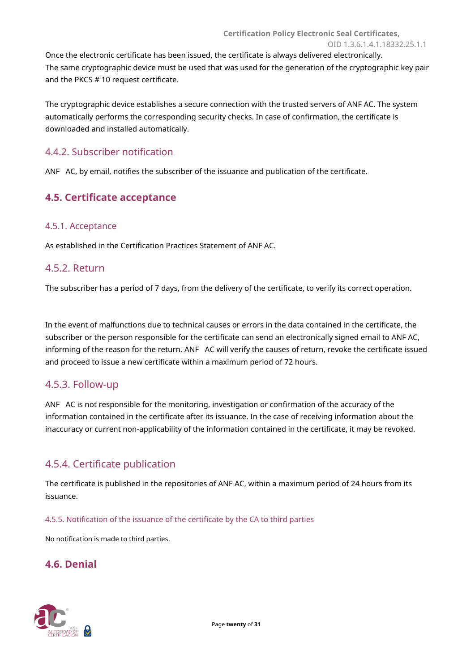Once the electronic certificate has been issued, the certificate is always delivered electronically. The same cryptographic device must be used that was used for the generation of the cryptographic key pair and the PKCS # 10 request certificate.

The cryptographic device establishes a secure connection with the trusted servers of ANF AC. The system automatically performs the corresponding security checks. In case of confirmation, the certificate is downloaded and installed automatically.

#### <span id="page-19-0"></span>4.4.2. Subscriber notification

<span id="page-19-1"></span>ANF AC, by email, notifies the subscriber of the issuance and publication of the certificate.

### **4.5. Certificate acceptance**

#### <span id="page-19-2"></span>4.5.1. Acceptance

As established in the Certification Practices Statement of ANF AC.

#### <span id="page-19-3"></span>4.5.2. Return

The subscriber has a period of 7 days, from the delivery of the certificate, to verify its correct operation.

In the event of malfunctions due to technical causes or errors in the data contained in the certificate, the subscriber or the person responsible for the certificate can send an electronically signed email to ANF AC, informing of the reason for the return. ANF AC will verify the causes of return, revoke the certificate issued and proceed to issue a new certificate within a maximum period of 72 hours.

#### <span id="page-19-4"></span>4.5.3. Follow-up

ANF AC is not responsible for the monitoring, investigation or confirmation of the accuracy of the information contained in the certificate after its issuance. In the case of receiving information about the inaccuracy or current non-applicability of the information contained in the certificate, it may be revoked.

### <span id="page-19-5"></span>4.5.4. Certificate publication

The certificate is published in the repositories of ANF AC, within a maximum period of 24 hours from its issuance.

<span id="page-19-6"></span>4.5.5. Notification of the issuance of the certificate by the CA to third parties

<span id="page-19-7"></span>No notification is made to third parties.

## **4.6. Denial**

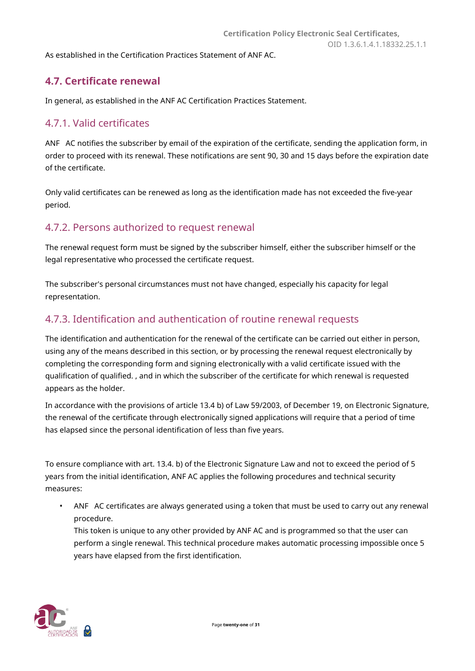<span id="page-20-0"></span>As established in the Certification Practices Statement of ANF AC.

## **4.7. Certificate renewal**

In general, as established in the ANF AC Certification Practices Statement.

## <span id="page-20-1"></span>4.7.1. Valid certificates

ANF AC notifies the subscriber by email of the expiration of the certificate, sending the application form, in order to proceed with its renewal. These notifications are sent 90, 30 and 15 days before the expiration date of the certificate.

Only valid certificates can be renewed as long as the identification made has not exceeded the five-year period.

## <span id="page-20-2"></span>4.7.2. Persons authorized to request renewal

The renewal request form must be signed by the subscriber himself, either the subscriber himself or the legal representative who processed the certificate request.

The subscriber's personal circumstances must not have changed, especially his capacity for legal representation.

### <span id="page-20-3"></span>4.7.3. Identification and authentication of routine renewal requests

The identification and authentication for the renewal of the certificate can be carried out either in person, using any of the means described in this section, or by processing the renewal request electronically by completing the corresponding form and signing electronically with a valid certificate issued with the qualification of qualified. , and in which the subscriber of the certificate for which renewal is requested appears as the holder.

In accordance with the provisions of article 13.4 b) of Law 59/2003, of December 19, on Electronic Signature, the renewal of the certificate through electronically signed applications will require that a period of time has elapsed since the personal identification of less than five years.

To ensure compliance with art. 13.4. b) of the Electronic Signature Law and not to exceed the period of 5 years from the initial identification, ANF AC applies the following procedures and technical security measures:

ANF AC certificates are always generated using a token that must be used to carry out any renewal procedure.

This token is unique to any other provided by ANF AC and is programmed so that the user can perform a single renewal. This technical procedure makes automatic processing impossible once 5 years have elapsed from the first identification.

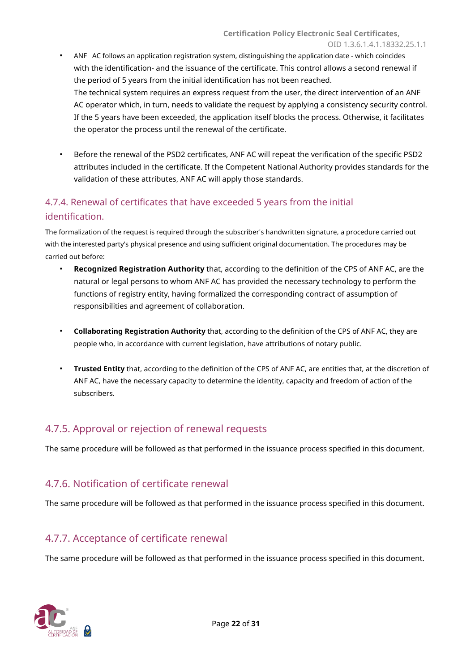- ANF AC follows an application registration system, distinguishing the application date which coincides with the identification- and the issuance of the certificate. This control allows a second renewal if the period of 5 years from the initial identification has not been reached. The technical system requires an express request from the user, the direct intervention of an ANF AC operator which, in turn, needs to validate the request by applying a consistency security control. If the 5 years have been exceeded, the application itself blocks the process. Otherwise, it facilitates the operator the process until the renewal of the certificate.
- Before the renewal of the PSD2 certificates, ANF AC will repeat the verification of the specific PSD2 attributes included in the certificate. If the Competent National Authority provides standards for the validation of these attributes, ANF AC will apply those standards.

# <span id="page-21-0"></span>4.7.4. Renewal of certificates that have exceeded 5 years from the initial identification.

The formalization of the request is required through the subscriber's handwritten signature, a procedure carried out with the interested party's physical presence and using sufficient original documentation. The procedures may be carried out before:

- **Recognized Registration Authority** that, according to the definition of the CPS of ANF AC, are the natural or legal persons to whom ANF AC has provided the necessary technology to perform the functions of registry entity, having formalized the corresponding contract of assumption of responsibilities and agreement of collaboration.
- **Collaborating Registration Authority** that, according to the definition of the CPS of ANF AC, they are people who, in accordance with current legislation, have attributions of notary public.
- **Trusted Entity** that, according to the definition of the CPS of ANF AC, are entities that, at the discretion of ANF AC, have the necessary capacity to determine the identity, capacity and freedom of action of the subscribers.

# <span id="page-21-1"></span>4.7.5. Approval or rejection of renewal requests

The same procedure will be followed as that performed in the issuance process specified in this document.

## <span id="page-21-2"></span>4.7.6. Notification of certificate renewal

The same procedure will be followed as that performed in the issuance process specified in this document.

# <span id="page-21-3"></span>4.7.7. Acceptance of certificate renewal

The same procedure will be followed as that performed in the issuance process specified in this document.

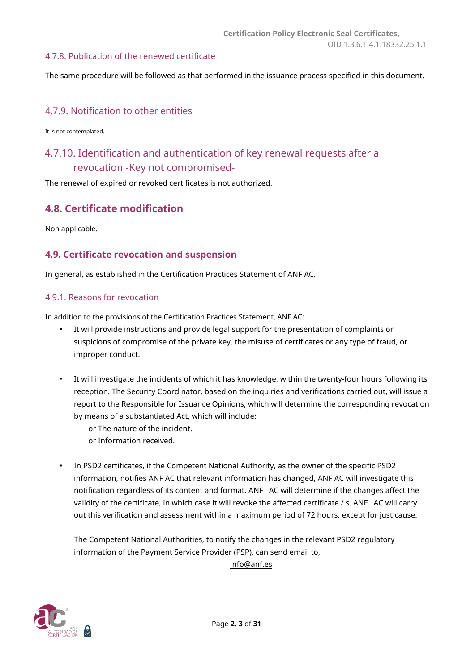#### <span id="page-22-0"></span>4.7.8. Publication of the renewed certificate

The same procedure will be followed as that performed in the issuance process specified in this document.

#### <span id="page-22-1"></span>4.7.9. Notification to other entities

It is not contemplated.

# <span id="page-22-2"></span>4.7.10. Identification and authentication of key renewal requests after a revocation -Key not compromised-

The renewal of expired or revoked certificates is not authorized.

#### <span id="page-22-3"></span>**4.8. Certificate modification**

Non applicable.

#### <span id="page-22-4"></span>**4.9. Certificate revocation and suspension**

<span id="page-22-5"></span>In general, as established in the Certification Practices Statement of ANF AC.

#### 4.9.1. Reasons for revocation

In addition to the provisions of the Certification Practices Statement, ANF AC:

- It will provide instructions and provide legal support for the presentation of complaints or suspicions of compromise of the private key, the misuse of certificates or any type of fraud, or improper conduct.
- It will investigate the incidents of which it has knowledge, within the twenty-four hours following its reception. The Security Coordinator, based on the inquiries and verifications carried out, will issue a report to the Responsible for Issuance Opinions, which will determine the corresponding revocation by means of a substantiated Act, which will include:
	- or The nature of the incident. or Information received.
- In PSD2 certificates, if the Competent National Authority, as the owner of the specific PSD2 information, notifies ANF AC that relevant information has changed, ANF AC will investigate this notification regardless of its content and format. ANF AC will determine if the changes affect the validity of the certificate, in which case it will revoke the affected certificate / s. ANF AC will carry out this verification and assessment within a maximum period of 72 hours, except for just cause.

The Competent National Authorities, to notify the changes in the relevant PSD2 regulatory information of the Payment Service Provider (PSP), can send email to,

[info@anf.es](mailto:info@anf.es)

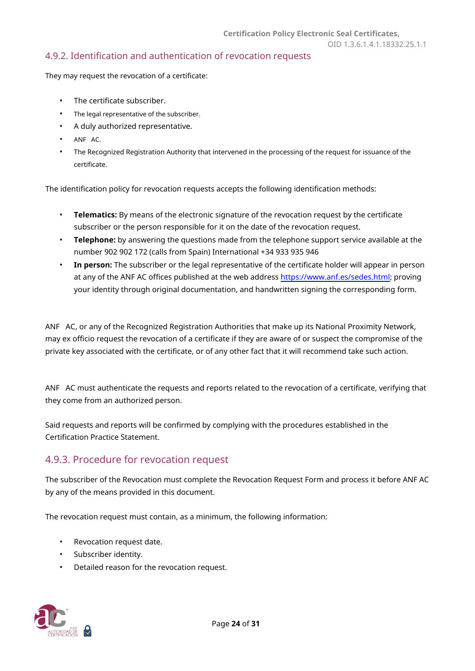#### <span id="page-23-0"></span>4.9.2. Identification and authentication of revocation requests

They may request the revocation of a certificate:

- The certificate subscriber.
- The legal representative of the subscriber.
- A duly authorized representative.
- ANF AC.
- The Recognized Registration Authority that intervened in the processing of the request for issuance of the certificate.

The identification policy for revocation requests accepts the following identification methods:

- **Telematics:** By means of the electronic signature of the revocation request by the certificate subscriber or the person responsible for it on the date of the revocation request.
- **Telephone:** by answering the questions made from the telephone support service available at the number 902 902 172 (calls from Spain) International +34 933 935 946
- **In person:** The subscriber or the legal representative of the certificate holder will appear in person at any of the ANF AC offices published at the web address https://[www.anf.es/sedes.html; proving](https://www.anf.es/sedes.html)  your identity through original documentation, and handwritten signing the corresponding form.

ANF AC, or any of the Recognized Registration Authorities that make up its National Proximity Network, may ex officio request the revocation of a certificate if they are aware of or suspect the compromise of the private key associated with the certificate, or of any other fact that it will recommend take such action.

ANF AC must authenticate the requests and reports related to the revocation of a certificate, verifying that they come from an authorized person.

Said requests and reports will be confirmed by complying with the procedures established in the Certification Practice Statement.

### <span id="page-23-1"></span>4.9.3. Procedure for revocation request

The subscriber of the Revocation must complete the Revocation Request Form and process it before ANF AC by any of the means provided in this document.

The revocation request must contain, as a minimum, the following information:

- Revocation request date.
- Subscriber identity.
- Detailed reason for the revocation request.

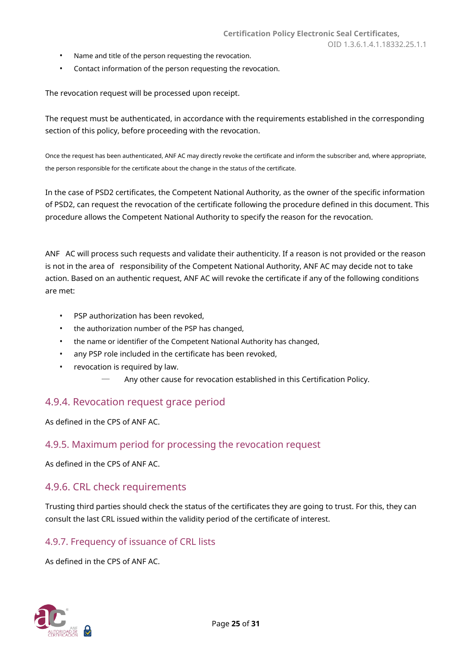- Name and title of the person requesting the revocation.
- Contact information of the person requesting the revocation.

The revocation request will be processed upon receipt.

The request must be authenticated, in accordance with the requirements established in the corresponding section of this policy, before proceeding with the revocation.

Once the request has been authenticated, ANF AC may directly revoke the certificate and inform the subscriber and, where appropriate, the person responsible for the certificate about the change in the status of the certificate.

In the case of PSD2 certificates, the Competent National Authority, as the owner of the specific information of PSD2, can request the revocation of the certificate following the procedure defined in this document. This procedure allows the Competent National Authority to specify the reason for the revocation.

ANF AC will process such requests and validate their authenticity. If a reason is not provided or the reason is not in the area of responsibility of the Competent National Authority, ANF AC may decide not to take action. Based on an authentic request, ANF AC will revoke the certificate if any of the following conditions are met:

- PSP authorization has been revoked,
- the authorization number of the PSP has changed,
- the name or identifier of the Competent National Authority has changed,
- any PSP role included in the certificate has been revoked,
- revocation is required by law.
	- Any other cause for revocation established in this Certification Policy.

#### <span id="page-24-0"></span>4.9.4. Revocation request grace period

<span id="page-24-1"></span>As defined in the CPS of ANF AC.

#### 4.9.5. Maximum period for processing the revocation request

<span id="page-24-2"></span>As defined in the CPS of ANF AC.

#### 4.9.6. CRL check requirements

Trusting third parties should check the status of the certificates they are going to trust. For this, they can consult the last CRL issued within the validity period of the certificate of interest.

#### <span id="page-24-3"></span>4.9.7. Frequency of issuance of CRL lists

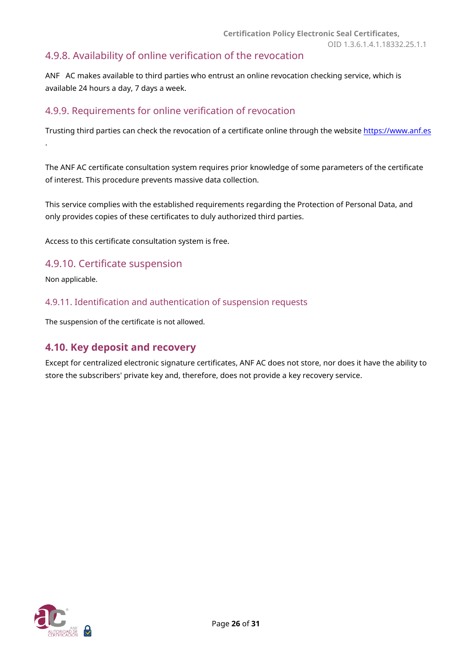## <span id="page-25-0"></span>4.9.8. Availability of online verification of the revocation

ANF AC makes available to third parties who entrust an online revocation checking service, which is available 24 hours a day, 7 days a week.

## <span id="page-25-1"></span>4.9.9. Requirements for online verification of revocation

Trusting third parties can check the revocation of a certificate online through the website https://www.anf.es .

The ANF AC certificate consultation system requires prior knowledge of some parameters of the certificate of interest. This procedure prevents massive data collection.

This service complies with the established requirements regarding the Protection of Personal Data, and only provides copies of these certificates to duly authorized third parties.

Access to this certificate consultation system is free.

#### <span id="page-25-2"></span>4.9.10. Certificate suspension

Non applicable.

<span id="page-25-3"></span>4.9.11. Identification and authentication of suspension requests

The suspension of the certificate is not allowed.

#### <span id="page-25-4"></span>**4.10. Key deposit and recovery**

Except for centralized electronic signature certificates, ANF AC does not store, nor does it have the ability to store the subscribers' private key and, therefore, does not provide a key recovery service.

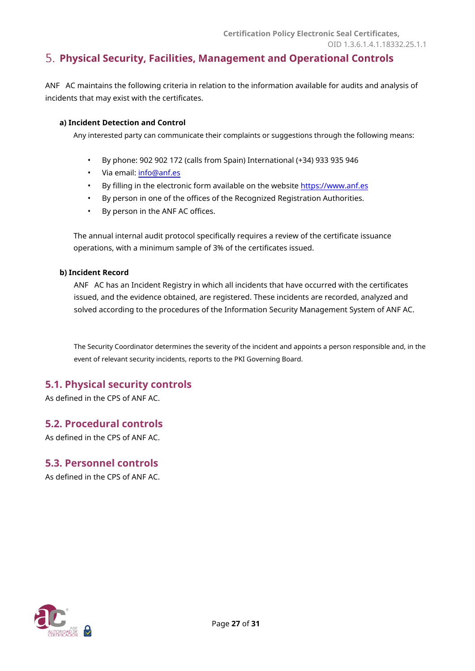## <span id="page-26-0"></span>**Physical Security, Facilities, Management and Operational Controls**

ANF AC maintains the following criteria in relation to the information available for audits and analysis of incidents that may exist with the certificates.

#### **a) Incident Detection and Control**

Any interested party can communicate their complaints or suggestions through the following means:

- By phone: 902 902 172 (calls from Spain) International (+34) 933 935 946
- Via email: info@anf.es
- By filling in the electronic form available on the website https://www.[anf.es](https://www.anf.es/)
- By person in one of the offices of the Recognized Registration Authorities.
- By person in the ANF AC offices.

The annual internal audit protocol specifically requires a review of the certificate issuance operations, with a minimum sample of 3% of the certificates issued.

#### **b) Incident Record**

ANF AC has an Incident Registry in which all incidents that have occurred with the certificates issued, and the evidence obtained, are registered. These incidents are recorded, analyzed and solved according to the procedures of the Information Security Management System of ANF AC.

The Security Coordinator determines the severity of the incident and appoints a person responsible and, in the event of relevant security incidents, reports to the PKI Governing Board.

## <span id="page-26-1"></span>**5.1. Physical security controls**

As defined in the CPS of ANF AC.

<span id="page-26-2"></span>**5.2. Procedural controls** As defined in the CPS of ANF AC.

# <span id="page-26-3"></span>**5.3. Personnel controls**

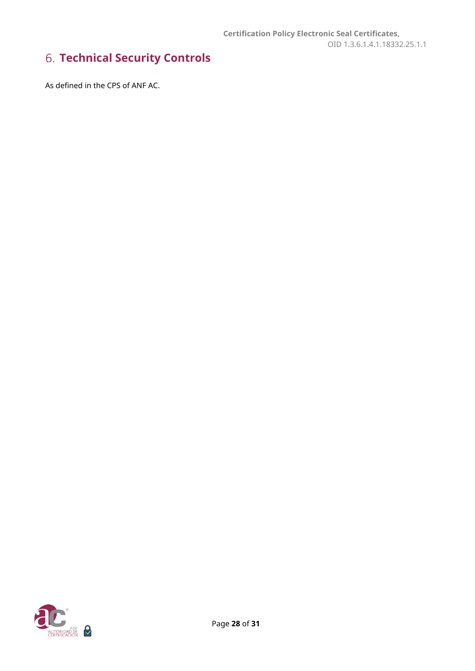# <span id="page-27-0"></span>**Technical Security Controls**

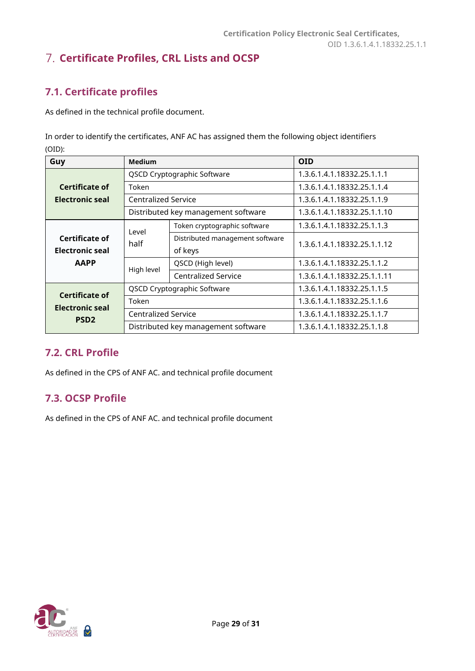# <span id="page-28-0"></span>**Certificate Profiles, CRL Lists and OCSP**

# <span id="page-28-1"></span>**7.1. Certificate profiles**

As defined in the technical profile document.

In order to identify the certificates, ANF AC has assigned them the following object identifiers (OID):

| Guy                    | Medium                              |                                     | <b>OID</b>                  |
|------------------------|-------------------------------------|-------------------------------------|-----------------------------|
|                        | QSCD Cryptographic Software         |                                     | 1.3.6.1.4.1.18332.25.1.1.1  |
| Certificate of         | Token                               |                                     | 1.3.6.1.4.1.18332.25.1.1.4  |
| Electronic seal        | <b>Centralized Service</b>          |                                     | 1.3.6.1.4.1.18332.25.1.1.9  |
|                        |                                     | Distributed key management software | 1.3.6.1.4.1.18332.25.1.1.10 |
|                        | Level                               | Token cryptographic software        | 1.3.6.1.4.1.18332.25.1.1.3  |
| Certificate of         | half                                | Distributed management software     | 1.3.6.1.4.1.18332.25.1.1.12 |
| <b>Electronic seal</b> |                                     | of keys                             |                             |
| <b>AAPP</b>            | High level                          | QSCD (High level)                   | 1.3.6.1.4.1.18332.25.1.1.2  |
|                        |                                     | <b>Centralized Service</b>          | 1.3.6.1.4.1.18332.25.1.1.11 |
| Certificate of         |                                     | QSCD Cryptographic Software         | 1.3.6.1.4.1.18332.25.1.1.5  |
| <b>Electronic seal</b> | Token                               |                                     | 1.3.6.1.4.1.18332.25.1.1.6  |
| PSD <sub>2</sub>       | <b>Centralized Service</b>          |                                     | 1.3.6.1.4.1.18332.25.1.1.7  |
|                        | Distributed key management software |                                     | 1.3.6.1.4.1.18332.25.1.1.8  |

## <span id="page-28-2"></span>**7.2. CRL Profile**

As defined in the CPS of ANF AC. and technical profile document

## <span id="page-28-3"></span>**7.3. OCSP Profile**

As defined in the CPS of ANF AC. and technical profile document

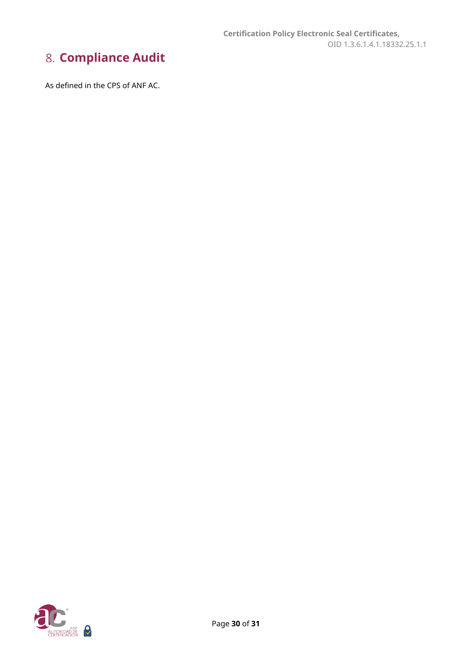# <span id="page-29-0"></span>**Compliance Audit**